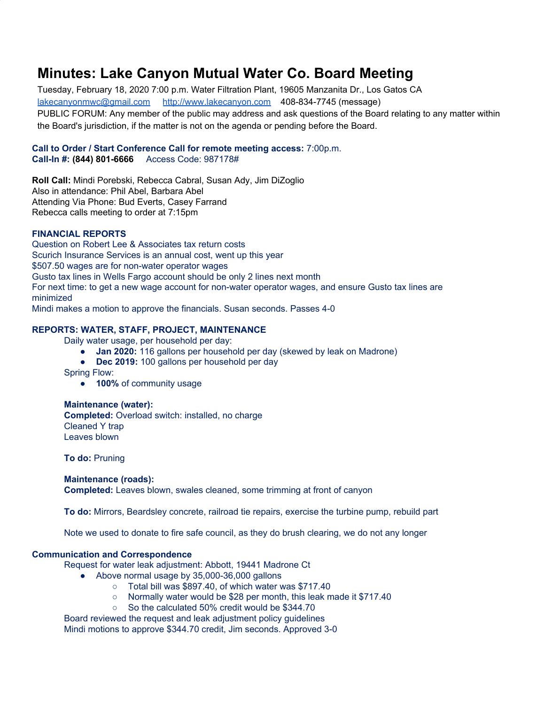# **Minutes: Lake Canyon Mutual Water Co. Board Meeting**

Tuesday, February 18, 2020 7:00 p.m. Water Filtration Plant, 19605 Manzanita Dr., Los Gatos CA [lakecanyonmwc@gmail.com](mailto:lakecanyonmwc@gmail.com) [http://www.lakecanyon.com](http://www.lakecanyon.com/) 408-834-7745 (message) PUBLIC FORUM: Any member of the public may address and ask questions of the Board relating to any matter within the Board's jurisdiction, if the matter is not on the agenda or pending before the Board.

## **Call to Order / Start Conference Call for remote meeting access:** 7:00p.m. **Call-In #: (844) 801-6666** Access Code: 987178#

**Roll Call:** Mindi Porebski, Rebecca Cabral, Susan Ady, Jim DiZoglio Also in attendance: Phil Abel, Barbara Abel Attending Via Phone: Bud Everts, Casey Farrand Rebecca calls meeting to order at 7:15pm

## **FINANCIAL REPORTS**

Question on Robert Lee & Associates tax return costs Scurich Insurance Services is an annual cost, went up this year \$507.50 wages are for non-water operator wages Gusto tax lines in Wells Fargo account should be only 2 lines next month For next time: to get a new wage account for non-water operator wages, and ensure Gusto tax lines are minimized

Mindi makes a motion to approve the financials. Susan seconds. Passes 4-0

## **REPORTS: WATER, STAFF, PROJECT, MAINTENANCE**

Daily water usage, per household per day:

- **● Jan 2020:** 116 gallons per household per day (skewed by leak on Madrone)
- **● Dec 2019:** 100 gallons per household per day

Spring Flow:

**● 100%** of community usage

## **Maintenance (water):**

**Completed:** Overload switch: installed, no charge Cleaned Y trap Leaves blown

**To do:** Pruning

## **Maintenance (roads):**

**Completed:** Leaves blown, swales cleaned, some trimming at front of canyon

**To do:** Mirrors, Beardsley concrete, railroad tie repairs, exercise the turbine pump, rebuild part

Note we used to donate to fire safe council, as they do brush clearing, we do not any longer

## **Communication and Correspondence**

Request for water leak adjustment: Abbott, 19441 Madrone Ct

- Above normal usage by 35,000-36,000 gallons
	- Total bill was \$897.40, of which water was \$717.40
	- Normally water would be \$28 per month, this leak made it \$717.40
	- So the calculated 50% credit would be \$344.70

Board reviewed the request and leak adjustment policy guidelines Mindi motions to approve \$344.70 credit, Jim seconds. Approved 3-0